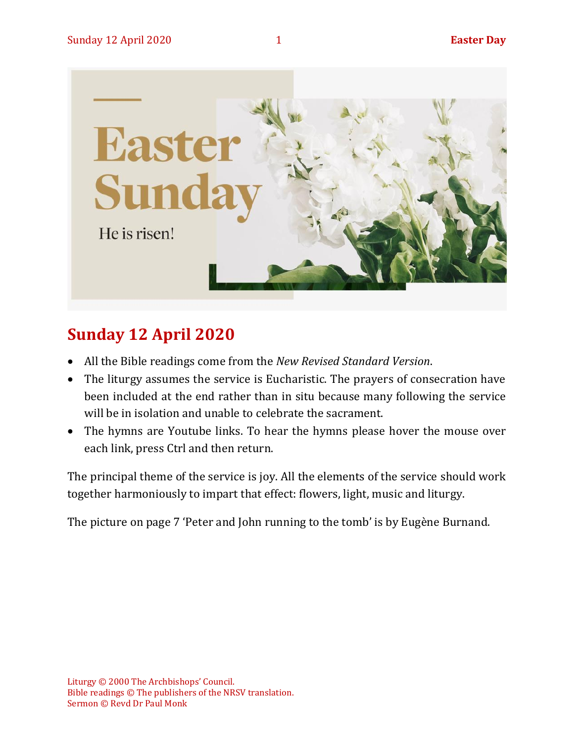

## **Sunday 12 April 2020**

- All the Bible readings come from the *New Revised Standard Version*.
- The liturgy assumes the service is Eucharistic. The prayers of consecration have been included at the end rather than in situ because many following the service will be in isolation and unable to celebrate the sacrament.
- The hymns are Youtube links. To hear the hymns please hover the mouse over each link, press Ctrl and then return.

The principal theme of the service is joy. All the elements of the service should work together harmoniously to impart that effect: flowers, light, music and liturgy.

The picture on page 7 'Peter and John running to the tomb' is by Eugène Burnand.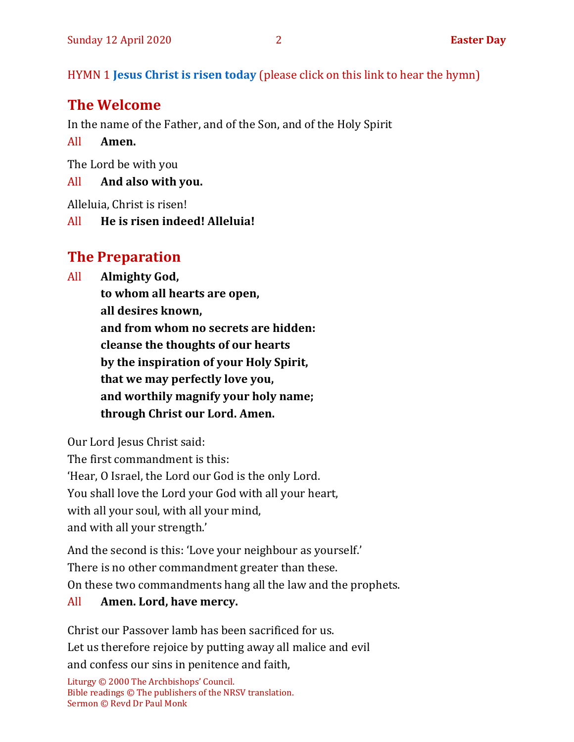HYMN 1 **[Jesus Christ is risen today](https://www.youtube.com/watch?v=X1brSOs0lMc)** (please click on this link to hear the hymn)

## **The Welcome**

In the name of the Father, and of the Son, and of the Holy Spirit

All **Amen.**

The Lord be with you

#### All **And also with you.**

Alleluia, Christ is risen!

All **He is risen indeed! Alleluia!**

## **The Preparation**

All **Almighty God,**

**to whom all hearts are open, all desires known, and from whom no secrets are hidden: cleanse the thoughts of our hearts by the inspiration of your Holy Spirit, that we may perfectly love you, and worthily magnify your holy name; through Christ our Lord. Amen.**

Our Lord Jesus Christ said: The first commandment is this: 'Hear, O Israel, the Lord our God is the only Lord. You shall love the Lord your God with all your heart, with all your soul, with all your mind, and with all your strength.'

And the second is this: 'Love your neighbour as yourself.' There is no other commandment greater than these. On these two commandments hang all the law and the prophets.

#### All **Amen. Lord, have mercy.**

Christ our Passover lamb has been sacrificed for us. Let us therefore rejoice by putting away all malice and evil and confess our sins in penitence and faith,

Liturgy © 2000 The Archbishops' Council. Bible readings © The publishers of the NRSV translation. Sermon © Revd Dr Paul Monk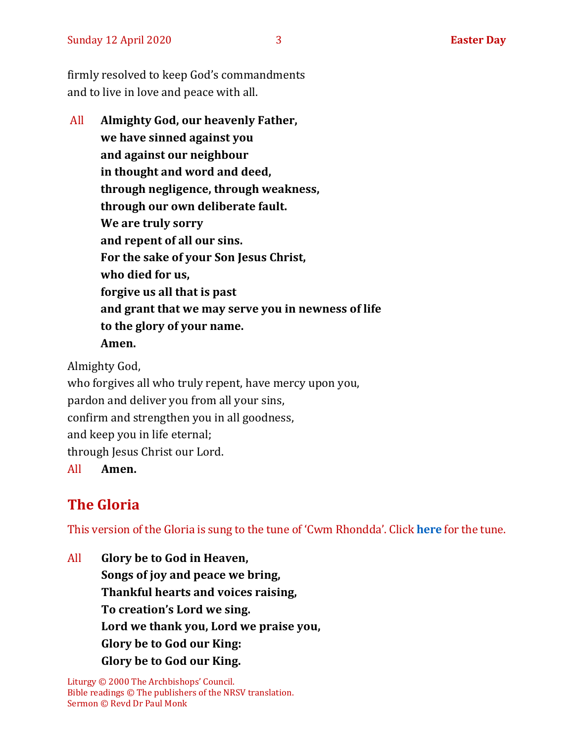firmly resolved to keep God's commandments and to live in love and peace with all.

All **Almighty God, our heavenly Father, we have sinned against you and against our neighbour in thought and word and deed, through negligence, through weakness, through our own deliberate fault. We are truly sorry and repent of all our sins. For the sake of your Son Jesus Christ, who died for us, forgive us all that is past and grant that we may serve you in newness of life to the glory of your name. Amen.**

Almighty God, who forgives all who truly repent, have mercy upon you,

pardon and deliver you from all your sins,

confirm and strengthen you in all goodness,

and keep you in life eternal;

through Jesus Christ our Lord.

All **Amen.**

## **The Gloria**

This version of the Gloria is sung to the tune of 'Cwm Rhondda'. Click **[here](https://www.youtube.com/watch?v=BtGhnEwY74E)** for the tune.

All **Glory be to God in Heaven, Songs of joy and peace we bring, Thankful hearts and voices raising, To creation's Lord we sing. Lord we thank you, Lord we praise you, Glory be to God our King: Glory be to God our King.**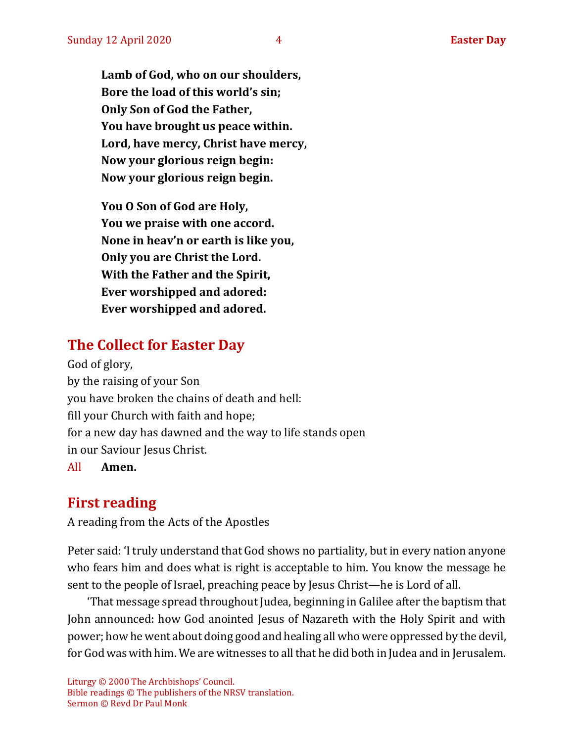**Lamb of God, who on our shoulders, Bore the load of this world's sin; Only Son of God the Father, You have brought us peace within. Lord, have mercy, Christ have mercy, Now your glorious reign begin: Now your glorious reign begin.**

**You O Son of God are Holy, You we praise with one accord. None in heav'n or earth is like you, Only you are Christ the Lord. With the Father and the Spirit, Ever worshipped and adored: Ever worshipped and adored.**

## **The Collect for Easter Day**

God of glory, by the raising of your Son you have broken the chains of death and hell: fill your Church with faith and hope; for a new day has dawned and the way to life stands open in our Saviour Jesus Christ. All **Amen.**

## **First reading**

A reading from the Acts of the Apostles

Peter said: 'I truly understand that God shows no partiality, but in every nation anyone who fears him and does what is right is acceptable to him. You know the message he sent to the people of Israel, preaching peace by Jesus Christ—he is Lord of all.

'That message spread throughout Judea, beginning in Galilee after the baptism that John announced: how God anointed Jesus of Nazareth with the Holy Spirit and with power; how he went about doing good and healing all who were oppressed by the devil, for God was with him. We are witnesses to all that he did both in Judea and in Jerusalem.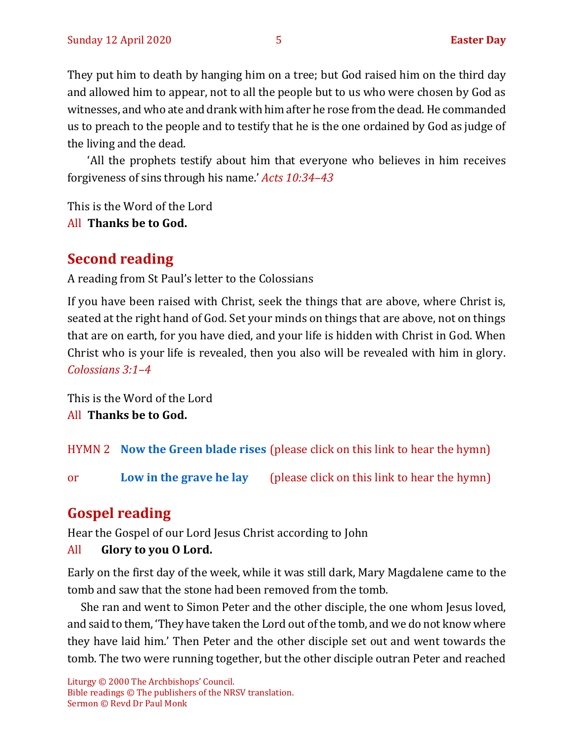They put him to death by hanging him on a tree; but God raised him on the third day and allowed him to appear, not to all the people but to us who were chosen by God as witnesses, and who ate and drank with him after he rose from the dead. He commanded us to preach to the people and to testify that he is the one ordained by God as judge of the living and the dead.

'All the prophets testify about him that everyone who believes in him receives forgiveness of sins through his name.' *Acts 10:34–43*

This is the Word of the Lord

All **Thanks be to God.**

## **Second reading**

A reading from St Paul's letter to the Colossians

If you have been raised with Christ, seek the things that are above, where Christ is, seated at the right hand of God. Set your minds on things that are above, not on things that are on earth, for you have died, and your life is hidden with Christ in God. When Christ who is your life is revealed, then you also will be revealed with him in glory. *Colossians 3:1–4*

This is the Word of the Lord All **Thanks be to God.**

HYMN 2 **[Now the Green blade rises](https://www.youtube.com/watch?v=UVduV0ustWw)** (please click on this link to hear the hymn)

or **[Low in the grave he lay](https://www.youtube.com/watch?v=CtxSWcfH9hk)** (please click on this link to hear the hymn)

## **Gospel reading**

Hear the Gospel of our Lord Jesus Christ according to John

#### All **Glory to you O Lord.**

Early on the first day of the week, while it was still dark, Mary Magdalene came to the tomb and saw that the stone had been removed from the tomb.

She ran and went to Simon Peter and the other disciple, the one whom Jesus loved, and said to them, 'They have taken the Lord out of the tomb, and we do not know where they have laid him.' Then Peter and the other disciple set out and went towards the tomb. The two were running together, but the other disciple outran Peter and reached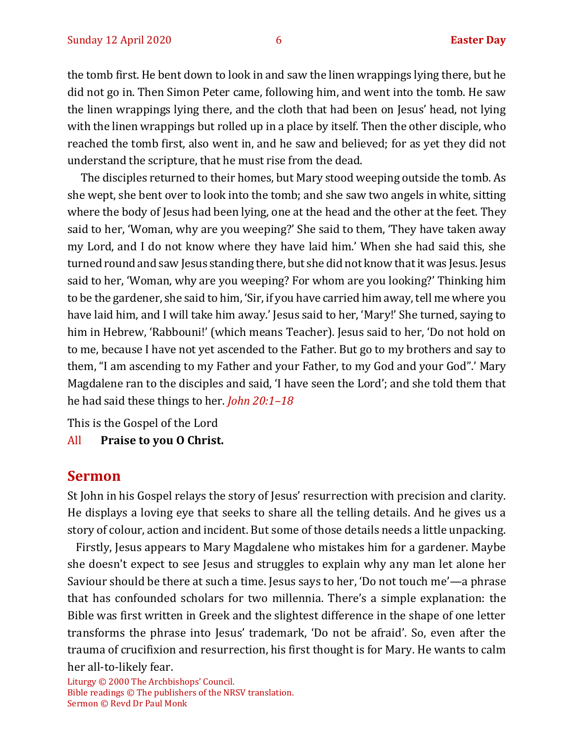the tomb first. He bent down to look in and saw the linen wrappings lying there, but he did not go in. Then Simon Peter came, following him, and went into the tomb. He saw the linen wrappings lying there, and the cloth that had been on Jesus' head, not lying with the linen wrappings but rolled up in a place by itself. Then the other disciple, who reached the tomb first, also went in, and he saw and believed; for as yet they did not understand the scripture, that he must rise from the dead.

The disciples returned to their homes, but Mary stood weeping outside the tomb. As she wept, she bent over to look into the tomb; and she saw two angels in white, sitting where the body of Jesus had been lying, one at the head and the other at the feet. They said to her, 'Woman, why are you weeping?' She said to them, 'They have taken away my Lord, and I do not know where they have laid him.' When she had said this, she turned round and saw Jesus standing there, but she did not know that it was Jesus. Jesus said to her, 'Woman, why are you weeping? For whom are you looking?' Thinking him to be the gardener, she said to him, 'Sir, if you have carried him away, tell me where you have laid him, and I will take him away.' Jesus said to her, 'Mary!' She turned, saying to him in Hebrew, 'Rabbouni!' (which means Teacher). Jesus said to her, 'Do not hold on to me, because I have not yet ascended to the Father. But go to my brothers and say to them, "I am ascending to my Father and your Father, to my God and your God".' Mary Magdalene ran to the disciples and said, 'I have seen the Lord'; and she told them that he had said these things to her. *John 20:1–18*

This is the Gospel of the Lord

All **Praise to you O Christ.** 

#### **Sermon**

St John in his Gospel relays the story of Jesus' resurrection with precision and clarity. He displays a loving eye that seeks to share all the telling details. And he gives us a story of colour, action and incident. But some of those details needs a little unpacking.

Firstly, Jesus appears to Mary Magdalene who mistakes him for a gardener. Maybe she doesn't expect to see Jesus and struggles to explain why any man let alone her Saviour should be there at such a time. Jesus says to her, 'Do not touch me'—a phrase that has confounded scholars for two millennia. There's a simple explanation: the Bible was first written in Greek and the slightest difference in the shape of one letter transforms the phrase into Jesus' trademark, 'Do not be afraid'. So, even after the trauma of crucifixion and resurrection, his first thought is for Mary. He wants to calm her all-to-likely fear.

Liturgy © 2000 The Archbishops' Council. Bible readings © The publishers of the NRSV translation. Sermon © Revd Dr Paul Monk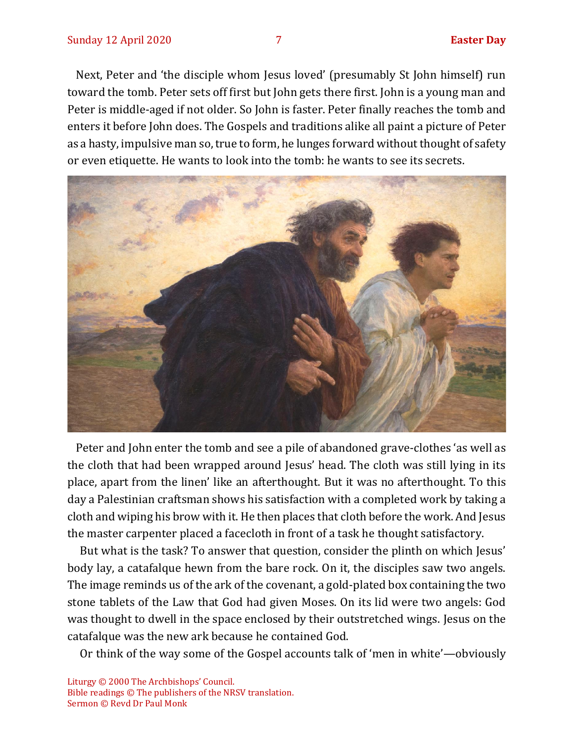Next, Peter and 'the disciple whom Jesus loved' (presumably St John himself) run toward the tomb. Peter sets off first but John gets there first. John is a young man and Peter is middle-aged if not older. So John is faster. Peter finally reaches the tomb and enters it before John does. The Gospels and traditions alike all paint a picture of Peter as a hasty, impulsive man so, true to form, he lunges forward without thought of safety or even etiquette. He wants to look into the tomb: he wants to see its secrets.



Peter and John enter the tomb and see a pile of abandoned grave-clothes 'as well as the cloth that had been wrapped around Jesus' head. The cloth was still lying in its place, apart from the linen' like an afterthought. But it was no afterthought. To this day a Palestinian craftsman shows his satisfaction with a completed work by taking a cloth and wiping his brow with it. He then places that cloth before the work. And Jesus the master carpenter placed a facecloth in front of a task he thought satisfactory.

But what is the task? To answer that question, consider the plinth on which Jesus' body lay, a catafalque hewn from the bare rock. On it, the disciples saw two angels. The image reminds us of the ark of the covenant, a gold-plated box containing the two stone tablets of the Law that God had given Moses. On its lid were two angels: God was thought to dwell in the space enclosed by their outstretched wings. Jesus on the catafalque was the new ark because he contained God.

Or think of the way some of the Gospel accounts talk of 'men in white'—obviously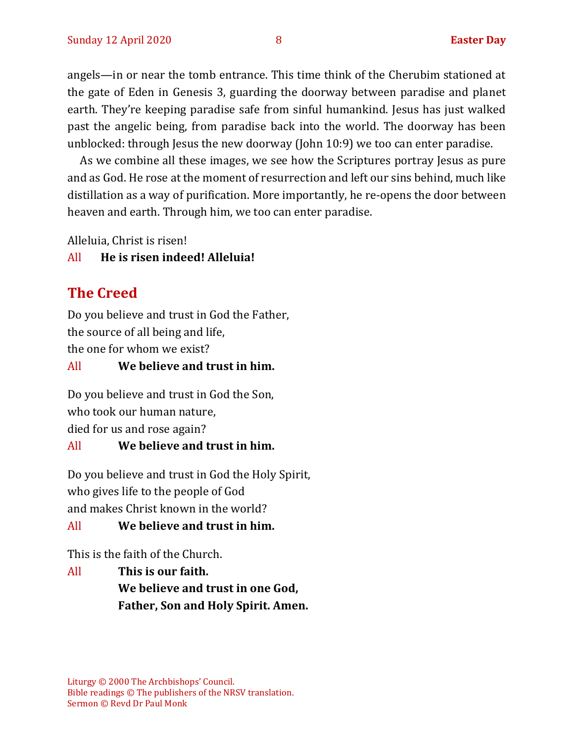angels—in or near the tomb entrance. This time think of the Cherubim stationed at the gate of Eden in Genesis 3, guarding the doorway between paradise and planet earth. They're keeping paradise safe from sinful humankind. Jesus has just walked past the angelic being, from paradise back into the world. The doorway has been unblocked: through Jesus the new doorway (John 10:9) we too can enter paradise.

As we combine all these images, we see how the Scriptures portray Jesus as pure and as God. He rose at the moment of resurrection and left our sins behind, much like distillation as a way of purification. More importantly, he re-opens the door between heaven and earth. Through him, we too can enter paradise.

Alleluia, Christ is risen!

#### All **He is risen indeed! Alleluia!**

## **The Creed**

Do you believe and trust in God the Father, the source of all being and life, the one for whom we exist?

#### All **We believe and trust in him.**

Do you believe and trust in God the Son, who took our human nature, died for us and rose again?

#### All **We believe and trust in him.**

Do you believe and trust in God the Holy Spirit, who gives life to the people of God and makes Christ known in the world?

All **We believe and trust in him.**

This is the faith of the Church.

All **This is our faith. We believe and trust in one God, Father, Son and Holy Spirit. Amen.**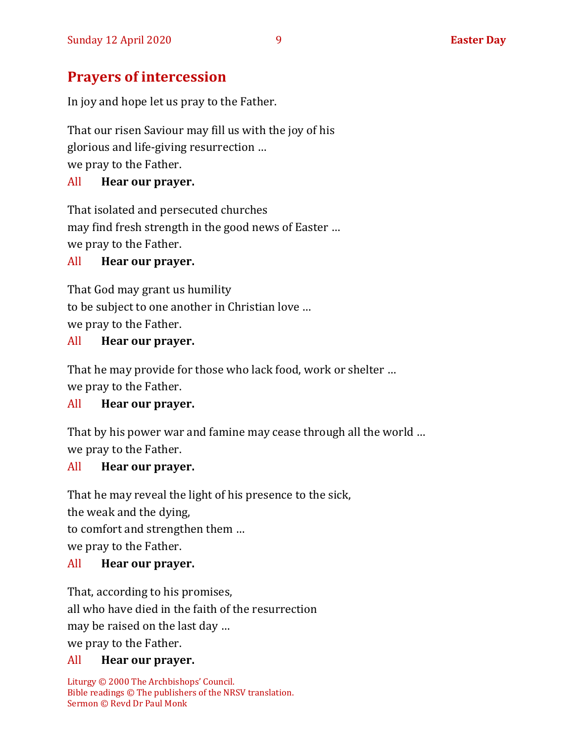## **Prayers of intercession**

In joy and hope let us pray to the Father.

That our risen Saviour may fill us with the joy of his glorious and life-giving resurrection … we pray to the Father.

#### All **Hear our prayer.**

That isolated and persecuted churches may find fresh strength in the good news of Easter … we pray to the Father.

#### All **Hear our prayer.**

That God may grant us humility to be subject to one another in Christian love … we pray to the Father.

#### All **Hear our prayer.**

That he may provide for those who lack food, work or shelter … we pray to the Father.

#### All **Hear our prayer.**

That by his power war and famine may cease through all the world … we pray to the Father.

#### All **Hear our prayer.**

That he may reveal the light of his presence to the sick, the weak and the dying, to comfort and strengthen them … we pray to the Father.

#### All **Hear our prayer.**

That, according to his promises, all who have died in the faith of the resurrection may be raised on the last day … we pray to the Father.

## All **Hear our prayer.**

Liturgy © 2000 The Archbishops' Council. Bible readings © The publishers of the NRSV translation. Sermon © Revd Dr Paul Monk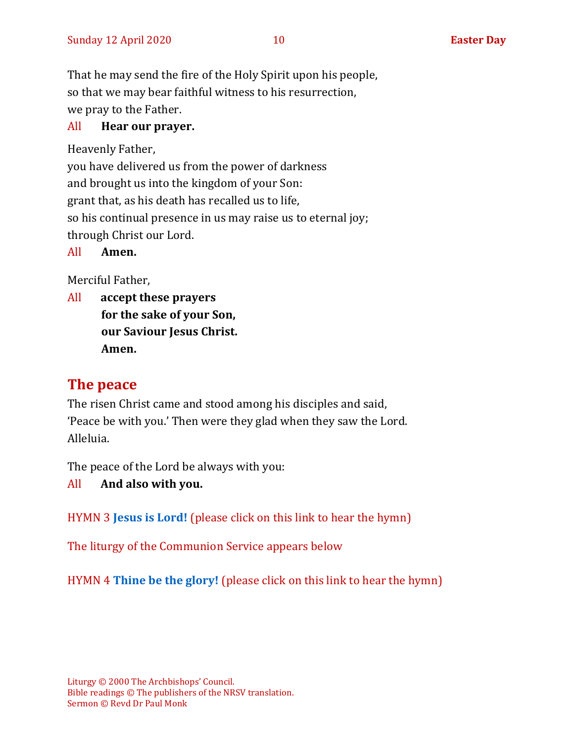That he may send the fire of the Holy Spirit upon his people, so that we may bear faithful witness to his resurrection, we pray to the Father.

#### All **Hear our prayer.**

Heavenly Father,

you have delivered us from the power of darkness and brought us into the kingdom of your Son: grant that, as his death has recalled us to life, so his continual presence in us may raise us to eternal joy; through Christ our Lord.

All **Amen.**

Merciful Father,

All **accept these prayers for the sake of your Son, our Saviour Jesus Christ. Amen.**

## **The peace**

The risen Christ came and stood among his disciples and said, 'Peace be with you.' Then were they glad when they saw the Lord. Alleluia.

The peace of the Lord be always with you:

#### All **And also with you.**

HYMN 3 **[Jesus is Lord!](https://www.youtube.com/watch?v=rflCCx3QRys&list=PLilJizfAHGExM_BlYgUNqWFtvwgMiXAmT)** (please click on this link to hear the hymn)

The liturgy of the Communion Service appears below

HYMN 4 **[Thine be the glory!](https://www.youtube.com/watch?v=GK0I9vj2QlI)** (please click on this link to hear the hymn)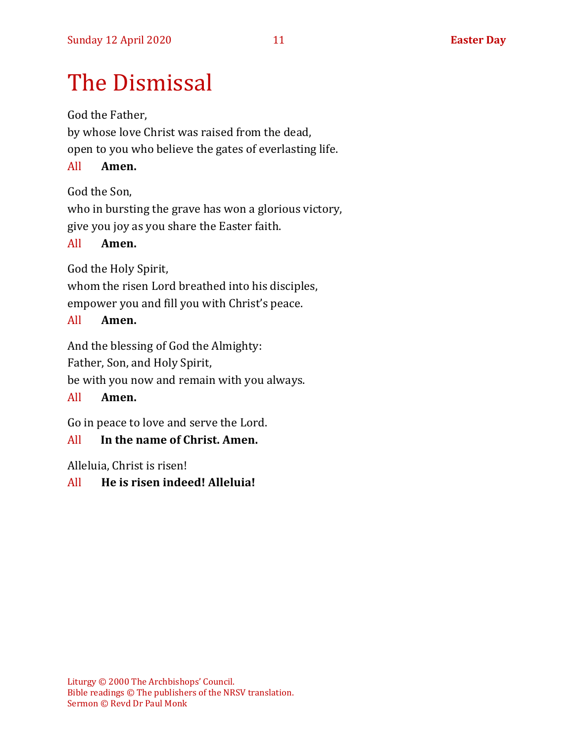# The Dismissal

God the Father,

by whose love Christ was raised from the dead, open to you who believe the gates of everlasting life.

#### All **Amen.**

God the Son,

who in bursting the grave has won a glorious victory, give you joy as you share the Easter faith.

#### All **Amen.**

God the Holy Spirit,

whom the risen Lord breathed into his disciples, empower you and fill you with Christ's peace.

#### All **Amen.**

And the blessing of God the Almighty:

Father, Son, and Holy Spirit,

be with you now and remain with you always.

#### All **Amen.**

Go in peace to love and serve the Lord.

#### All **In the name of Christ. Amen.**

Alleluia, Christ is risen!

#### All **He is risen indeed! Alleluia!**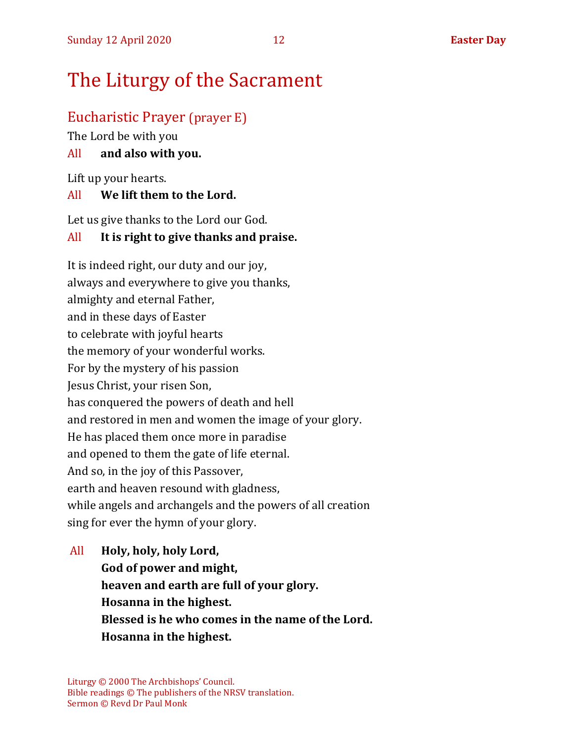# The Liturgy of the Sacrament

#### Eucharistic Prayer (prayer E)

The Lord be with you

#### All **and also with you.**

Lift up your hearts.

#### All **We lift them to the Lord.**

Let us give thanks to the Lord our God.

#### All **It is right to give thanks and praise.**

It is indeed right, our duty and our joy, always and everywhere to give you thanks, almighty and eternal Father, and in these days of Easter to celebrate with joyful hearts the memory of your wonderful works. For by the mystery of his passion Jesus Christ, your risen Son, has conquered the powers of death and hell and restored in men and women the image of your glory. He has placed them once more in paradise and opened to them the gate of life eternal. And so, in the joy of this Passover, earth and heaven resound with gladness, while angels and archangels and the powers of all creation sing for ever the hymn of your glory.

All **Holy, holy, holy Lord, God of power and might, heaven and earth are full of your glory. Hosanna in the highest. Blessed is he who comes in the name of the Lord. Hosanna in the highest.**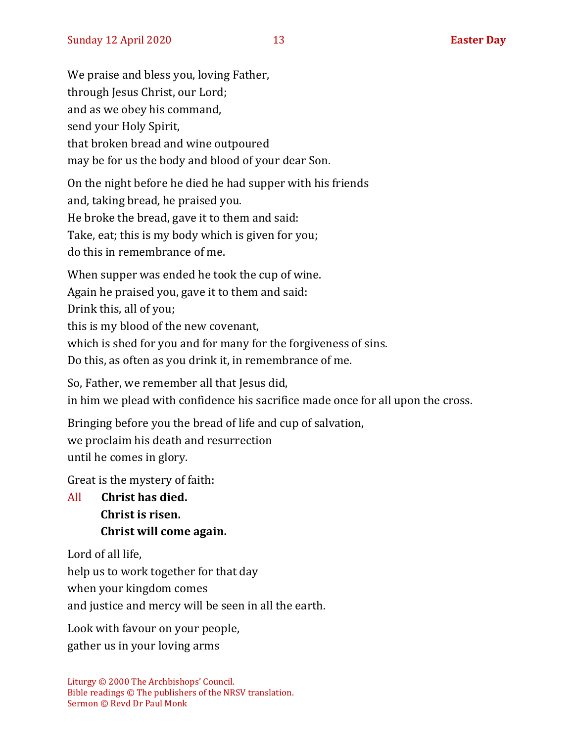We praise and bless you, loving Father, through Jesus Christ, our Lord; and as we obey his command, send your Holy Spirit, that broken bread and wine outpoured may be for us the body and blood of your dear Son.

On the night before he died he had supper with his friends and, taking bread, he praised you. He broke the bread, gave it to them and said: Take, eat; this is my body which is given for you; do this in remembrance of me.

When supper was ended he took the cup of wine. Again he praised you, gave it to them and said: Drink this, all of you; this is my blood of the new covenant, which is shed for you and for many for the forgiveness of sins. Do this, as often as you drink it, in remembrance of me.

So, Father, we remember all that Jesus did, in him we plead with confidence his sacrifice made once for all upon the cross.

Bringing before you the bread of life and cup of salvation, we proclaim his death and resurrection until he comes in glory.

Great is the mystery of faith:

All **Christ has died. Christ is risen. Christ will come again.**

Lord of all life,

help us to work together for that day

when your kingdom comes

and justice and mercy will be seen in all the earth.

Look with favour on your people, gather us in your loving arms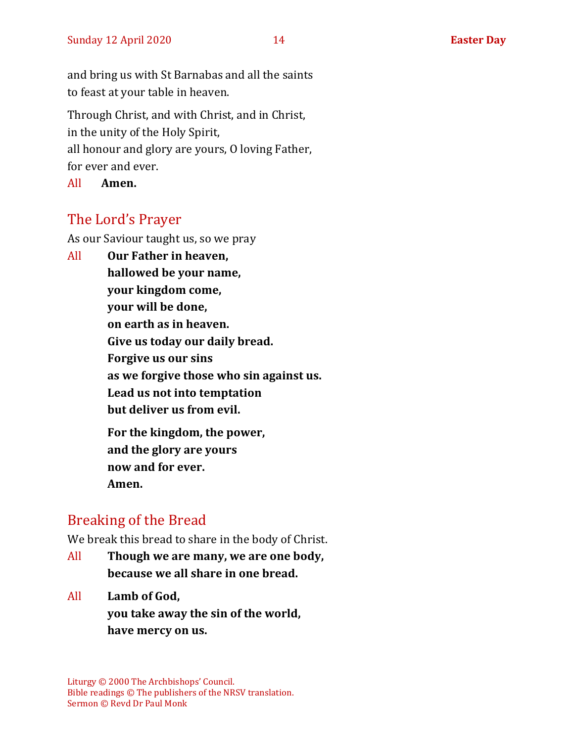and bring us with St Barnabas and all the saints to feast at your table in heaven.

Through Christ, and with Christ, and in Christ, in the unity of the Holy Spirit, all honour and glory are yours, O loving Father, for ever and ever.

All **Amen.**

## The Lord's Prayer

As our Saviour taught us, so we pray

All **Our Father in heaven, hallowed be your name, your kingdom come, your will be done, on earth as in heaven. Give us today our daily bread. Forgive us our sins as we forgive those who sin against us. Lead us not into temptation but deliver us from evil. For the kingdom, the power, and the glory are yours now and for ever. Amen.**

## Breaking of the Bread

We break this bread to share in the body of Christ.

- All **Though we are many, we are one body, because we all share in one bread.**
- All **Lamb of God, you take away the sin of the world, have mercy on us.**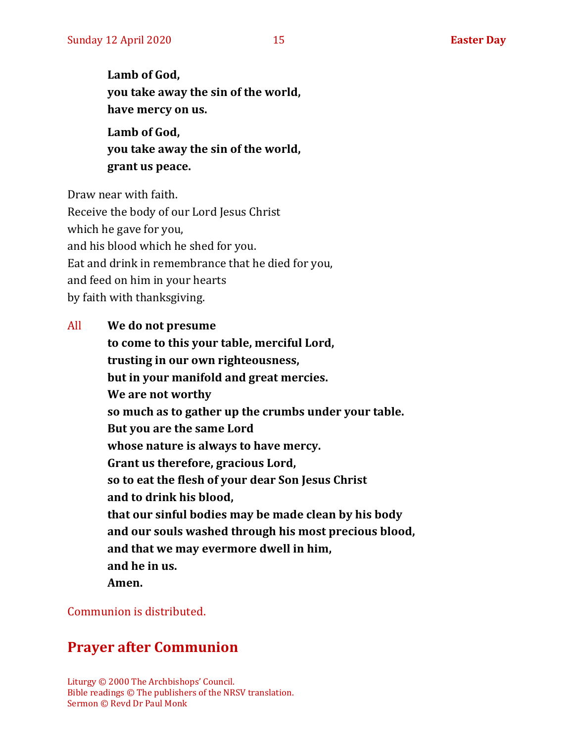**Lamb of God, you take away the sin of the world, have mercy on us. Lamb of God,** 

**you take away the sin of the world, grant us peace.**

Draw near with faith.

Receive the body of our Lord Jesus Christ which he gave for you, and his blood which he shed for you. Eat and drink in remembrance that he died for you, and feed on him in your hearts by faith with thanksgiving.

All **We do not presume to come to this your table, merciful Lord, trusting in our own righteousness, but in your manifold and great mercies. We are not worthy so much as to gather up the crumbs under your table. But you are the same Lord whose nature is always to have mercy. Grant us therefore, gracious Lord, so to eat the flesh of your dear Son Jesus Christ and to drink his blood, that our sinful bodies may be made clean by his body and our souls washed through his most precious blood, and that we may evermore dwell in him, and he in us. Amen.**

#### Communion is distributed.

## **Prayer after Communion**